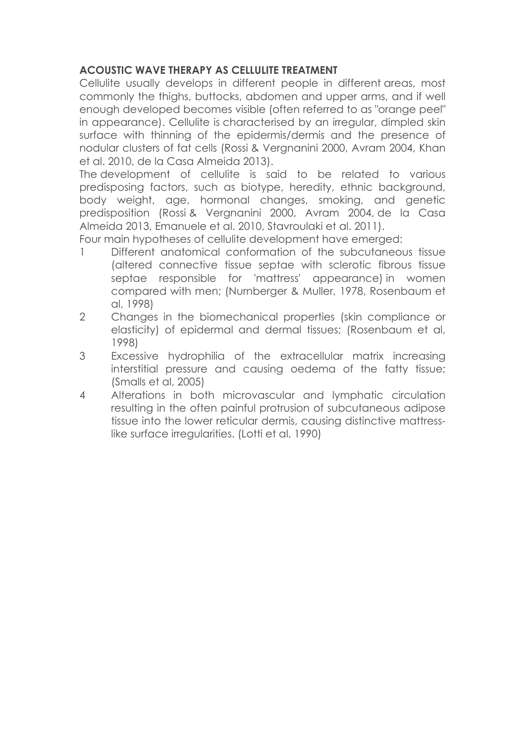## **ACOUSTIC WAVE THERAPY AS CELLULITE TREATMENT**

Cellulite usually develops in different people in different areas, most commonly the thighs, buttocks, abdomen and upper arms, and if well enough developed becomes visible (often referred to as "orange peel" in appearance). Cellulite is characterised by an irregular, dimpled skin surface with thinning of the epidermis/dermis and the presence of nodular clusters of fat cells (Rossi & Vergnanini 2000, Avram 2004, Khan et al. 2010, de la Casa Almeida 2013).

The development of cellulite is said to be related to various predisposing factors, such as biotype, heredity, ethnic background, body weight, age, hormonal changes, smoking, and genetic predisposition (Rossi & Vergnanini 2000, Avram 2004, de la Casa Almeida 2013, Emanuele et al. 2010, Stavroulaki et al. 2011).

Four main hypotheses of cellulite development have emerged:

- 1 Different anatomical conformation of the subcutaneous tissue (altered connective tissue septae with sclerotic fibrous tissue septae responsible for 'mattress' appearance) in women compared with men; (Nurnberger & Muller, 1978, Rosenbaum et al, 1998)
- 2 Changes in the biomechanical properties (skin compliance or elasticity) of epidermal and dermal tissues; (Rosenbaum et al, 1998)
- 3 Excessive hydrophilia of the extracellular matrix increasing interstitial pressure and causing oedema of the fatty tissue; (Smalls et al, 2005)
- 4 Alterations in both microvascular and lymphatic circulation resulting in the often painful protrusion of subcutaneous adipose tissue into the lower reticular dermis, causing distinctive mattresslike surface irregularities. (Lotti et al, 1990)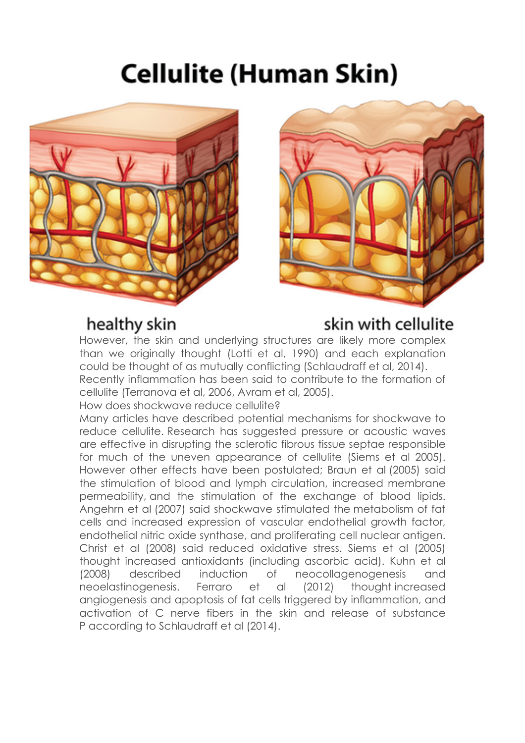# Cellulite (Human Skin)



## healthy skin



## skin with cellulite

However, the skin and underlying structures are likely more complex than we originally thought (Lotti et al, 1990) and each explanation could be thought of as mutually conflicting (Schlaudraff et al, 2014). Recently inflammation has been said to contribute to the formation of cellulite (Terranova et al, 2006, Avram et al, 2005).

How does shockwave reduce cellulite?

Many articles have described potential mechanisms for shockwave to reduce cellulite. Research has suggested pressure or acoustic waves are effective in disrupting the sclerotic fibrous tissue septae responsible for much of the uneven appearance of cellulite (Siems et al 2005). However other effects have been postulated; Braun et al (2005) said the stimulation of blood and lymph circulation, increased membrane permeability, and the stimulation of the exchange of blood lipids. Angehrn et al (2007) said shockwave stimulated the metabolism of fat cells and increased expression of vascular endothelial growth factor, endothelial nitric oxide synthase, and proliferating cell nuclear antigen. Christ et al (2008) said reduced oxidative stress. Siems et al (2005) thought increased antioxidants (including ascorbic acid). Kuhn et al (2008) described induction of neocollagenogenesis and neoelastinogenesis. Ferraro et al (2012) thought increased angiogenesis and apoptosis of fat cells triggered by inflammation, and activation of C nerve fibers in the skin and release of substance P according to Schlaudraff et al (2014).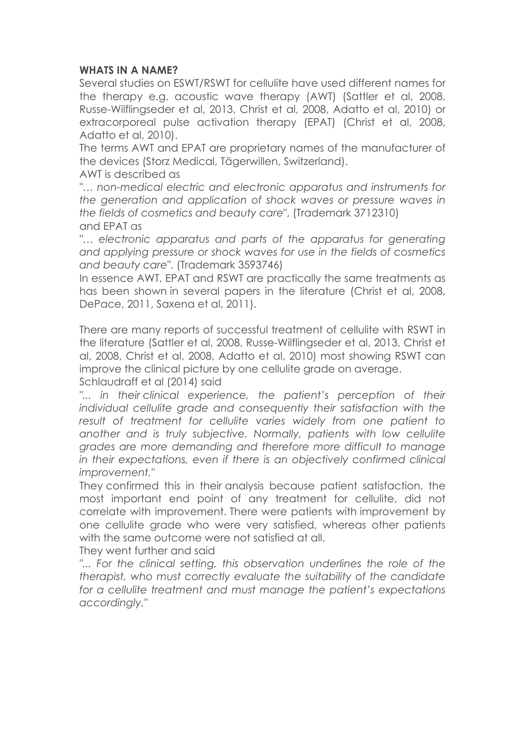#### **WHATS IN A NAME?**

Several studies on ESWT/RSWT for cellulite have used different names for the therapy e.g. acoustic wave therapy (AWT) (Sattler et al, 2008, Russe-Wilflingseder et al, 2013, Christ et al, 2008, Adatto et al, 2010) or extracorporeal pulse activation therapy (EPAT) (Christ et al, 2008, Adatto et al, 2010).

The terms AWT and EPAT are proprietary names of the manufacturer of the devices (Storz Medical, Tägerwillen, Switzerland).

AWT is described as

*"… non-medical electric and electronic apparatus and instruments for the generation and application of shock waves or pressure waves in the fields of cosmetics and beauty care*", (Trademark 3712310) and EPAT as

"... electronic apparatus and parts of the apparatus for generating *and applying pressure or shock waves for use in the fields of cosmetics and beauty care*". (Trademark 3593746)

In essence AWT, EPAT and RSWT are practically the same treatments as has been shown in several papers in the literature (Christ et al, 2008, DePace, 2011, Saxena et al, 2011).

There are many reports of successful treatment of cellulite with RSWT in the literature (Sattler et al, 2008, Russe-Wilflingseder et al, 2013, Christ et al, 2008, Christ et al, 2008, Adatto et al, 2010) most showing RSWT can improve the clinical picture by one cellulite grade on average. Schlaudraff et al (2014) said

"... in their *clinical experience*, the patient's perception of their *individual cellulite grade and consequently their satisfaction with the result of treatment for cellulite varies widely from one patient to another and is truly subjective. Normally, patients with low cellulite grades are more demanding and therefore more difficult to manage in their expectations, even if there is an objectively confirmed clinical improvement."*

They confirmed this in their analysis because patient satisfaction, the most important end point of any treatment for cellulite, did not correlate with improvement. There were patients with improvement by one cellulite grade who were very satisfied, whereas other patients with the same outcome were not satisfied at all.

They went further and said

"... For the clinical setting, this observation underlines the role of the *therapist, who must correctly evaluate the suitability of the candidate for a cellulite treatment and must manage the patient's expectations accordingly."*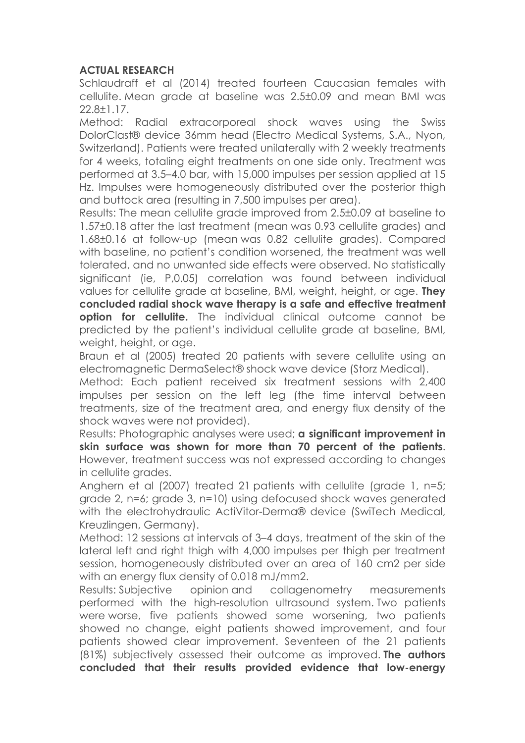### **ACTUAL RESEARCH**

Schlaudraff et al (2014) treated fourteen Caucasian females with cellulite. Mean grade at baseline was 2.5±0.09 and mean BMI was 22.8±1.17.

Method: Radial extracorporeal shock waves using the Swiss DolorClast® device 36mm head (Electro Medical Systems, S.A., Nyon, Switzerland). Patients were treated unilaterally with 2 weekly treatments for 4 weeks, totaling eight treatments on one side only. Treatment was performed at 3.5–4.0 bar, with 15,000 impulses per session applied at 15 Hz. Impulses were homogeneously distributed over the posterior thigh and buttock area (resulting in 7,500 impulses per area).

Results: The mean cellulite grade improved from 2.5±0.09 at baseline to 1.57±0.18 after the last treatment (mean was 0.93 cellulite grades) and 1.68±0.16 at follow-up (mean was 0.82 cellulite grades). Compared with baseline, no patient's condition worsened, the treatment was well tolerated, and no unwanted side effects were observed. No statistically significant (ie, P,0.05) correlation was found between individual values for cellulite grade at baseline, BMI, weight, height, or age. **They concluded radial shock wave therapy is a safe and effective treatment option for cellulite.** The individual clinical outcome cannot be predicted by the patient's individual cellulite grade at baseline, BMI, weight, height, or age.

Braun et al (2005) treated 20 patients with severe cellulite using an electromagnetic DermaSelect® shock wave device (Storz Medical).

Method: Each patient received six treatment sessions with 2,400 impulses per session on the left leg (the time interval between treatments, size of the treatment area, and energy flux density of the shock waves were not provided).

Results: Photographic analyses were used; **a significant improvement in skin surface was shown for more than 70 percent of the patients**. However, treatment success was not expressed according to changes in cellulite grades.

Anghern et al (2007) treated 21 patients with cellulite (grade 1, n=5; grade 2, n=6; grade 3, n=10) using defocused shock waves generated with the electrohydraulic ActiVitor-Derma® device (SwiTech Medical, Kreuzlingen, Germany).

Method: 12 sessions at intervals of 3–4 days, treatment of the skin of the lateral left and right thigh with 4,000 impulses per thigh per treatment session, homogeneously distributed over an area of 160 cm2 per side with an energy flux density of 0.018 mJ/mm2.

Results: Subjective opinion and collagenometry measurements performed with the high-resolution ultrasound system. Two patients were worse, five patients showed some worsening, two patients showed no change, eight patients showed improvement, and four patients showed clear improvement. Seventeen of the 21 patients (81%) subjectively assessed their outcome as improved. **The authors concluded that their results provided evidence that low-energy**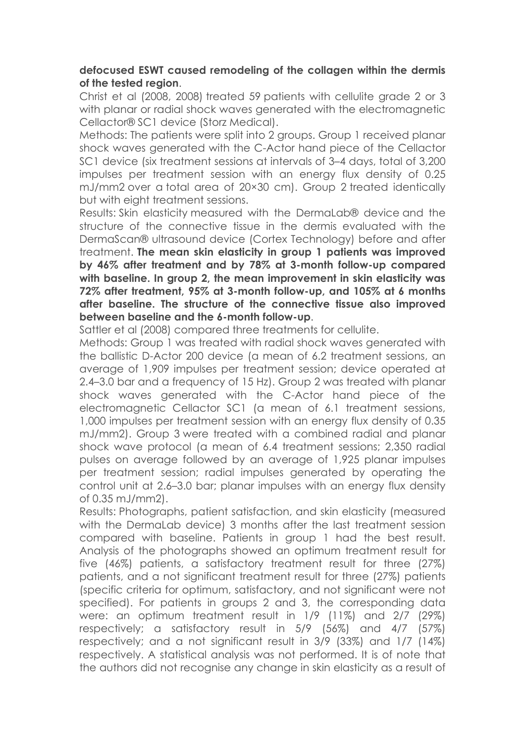### **defocused ESWT caused remodeling of the collagen within the dermis of the tested region**.

Christ et al (2008, 2008) treated 59 patients with cellulite grade 2 or 3 with planar or radial shock waves generated with the electromagnetic Cellactor® SC1 device (Storz Medical).

Methods: The patients were split into 2 groups. Group 1 received planar shock waves generated with the C-Actor hand piece of the Cellactor SC1 device (six treatment sessions at intervals of 3–4 days, total of 3,200 impulses per treatment session with an energy flux density of 0.25 mJ/mm2 over a total area of 20×30 cm). Group 2 treated identically but with eight treatment sessions.

Results: Skin elasticity measured with the DermaLab® device and the structure of the connective tissue in the dermis evaluated with the DermaScan® ultrasound device (Cortex Technology) before and after treatment. **The mean skin elasticity in group 1 patients was improved by 46% after treatment and by 78% at 3-month follow-up compared with baseline. In group 2, the mean improvement in skin elasticity was 72% after treatment, 95% at 3-month follow-up, and 105% at 6 months after baseline. The structure of the connective tissue also improved between baseline and the 6-month follow-up**.

Sattler et al (2008) compared three treatments for cellulite.

Methods: Group 1 was treated with radial shock waves generated with the ballistic D-Actor 200 device (a mean of 6.2 treatment sessions, an average of 1,909 impulses per treatment session; device operated at 2.4–3.0 bar and a frequency of 15 Hz). Group 2 was treated with planar shock waves generated with the C-Actor hand piece of the electromagnetic Cellactor SC1 (a mean of 6.1 treatment sessions, 1,000 impulses per treatment session with an energy flux density of 0.35 mJ/mm2). Group 3 were treated with a combined radial and planar shock wave protocol (a mean of 6.4 treatment sessions; 2,350 radial pulses on average followed by an average of 1,925 planar impulses per treatment session; radial impulses generated by operating the control unit at 2.6–3.0 bar; planar impulses with an energy flux density of 0.35 mJ/mm2).

Results: Photographs, patient satisfaction, and skin elasticity (measured with the DermaLab device) 3 months after the last treatment session compared with baseline. Patients in group 1 had the best result. Analysis of the photographs showed an optimum treatment result for five (46%) patients, a satisfactory treatment result for three (27%) patients, and a not significant treatment result for three (27%) patients (specific criteria for optimum, satisfactory, and not significant were not specified). For patients in groups 2 and 3, the corresponding data were: an optimum treatment result in 1/9 (11%) and 2/7 (29%) respectively; a satisfactory result in 5/9 (56%) and 4/7 (57%) respectively; and a not significant result in 3/9 (33%) and 1/7 (14%) respectively. A statistical analysis was not performed. It is of note that the authors did not recognise any change in skin elasticity as a result of